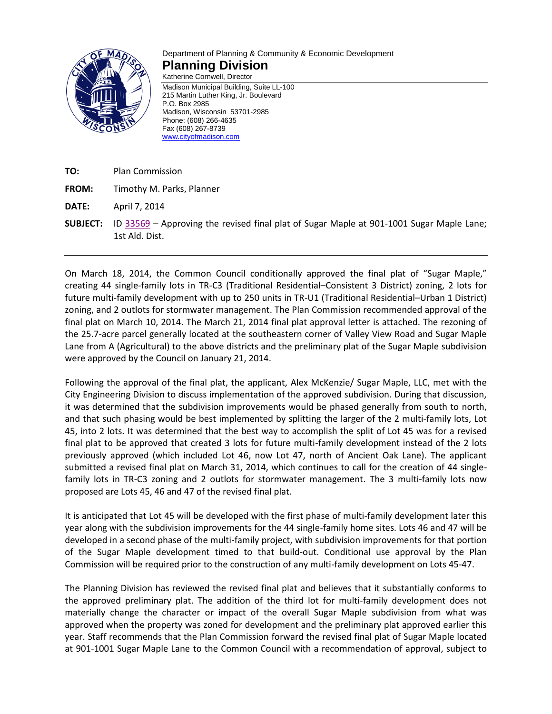

## Department of Planning & Community & Economic Development **Planning Division**

Katherine Cornwell, Director Madison Municipal Building, Suite LL-100 215 Martin Luther King, Jr. Boulevard P.O. Box 2985 Madison, Wisconsin 53701-2985 Phone: (608) 266-4635 Fax (608) 267-8739 [www.cityofmadison.com](http://www.cityofmadison.com/)

- **TO:** Plan Commission
- **FROM:** Timothy M. Parks, Planner
- **DATE:** April 7, 2014
- **SUBJECT:** ID [33569](https://madison.legistar.com/LegislationDetail.aspx?ID=1691378&GUID=ACB45009-2437-4F1D-BA12-890224774711) Approving the revised final plat of Sugar Maple at 901-1001 Sugar Maple Lane; 1st Ald. Dist.

On March 18, 2014, the Common Council conditionally approved the final plat of "Sugar Maple," creating 44 single-family lots in TR-C3 (Traditional Residential–Consistent 3 District) zoning, 2 lots for future multi-family development with up to 250 units in TR-U1 (Traditional Residential–Urban 1 District) zoning, and 2 outlots for stormwater management. The Plan Commission recommended approval of the final plat on March 10, 2014. The March 21, 2014 final plat approval letter is attached. The rezoning of the 25.7-acre parcel generally located at the southeastern corner of Valley View Road and Sugar Maple Lane from A (Agricultural) to the above districts and the preliminary plat of the Sugar Maple subdivision were approved by the Council on January 21, 2014.

Following the approval of the final plat, the applicant, Alex McKenzie/ Sugar Maple, LLC, met with the City Engineering Division to discuss implementation of the approved subdivision. During that discussion, it was determined that the subdivision improvements would be phased generally from south to north, and that such phasing would be best implemented by splitting the larger of the 2 multi-family lots, Lot 45, into 2 lots. It was determined that the best way to accomplish the split of Lot 45 was for a revised final plat to be approved that created 3 lots for future multi-family development instead of the 2 lots previously approved (which included Lot 46, now Lot 47, north of Ancient Oak Lane). The applicant submitted a revised final plat on March 31, 2014, which continues to call for the creation of 44 singlefamily lots in TR-C3 zoning and 2 outlots for stormwater management. The 3 multi-family lots now proposed are Lots 45, 46 and 47 of the revised final plat.

It is anticipated that Lot 45 will be developed with the first phase of multi-family development later this year along with the subdivision improvements for the 44 single-family home sites. Lots 46 and 47 will be developed in a second phase of the multi-family project, with subdivision improvements for that portion of the Sugar Maple development timed to that build-out. Conditional use approval by the Plan Commission will be required prior to the construction of any multi-family development on Lots 45-47.

The Planning Division has reviewed the revised final plat and believes that it substantially conforms to the approved preliminary plat. The addition of the third lot for multi-family development does not materially change the character or impact of the overall Sugar Maple subdivision from what was approved when the property was zoned for development and the preliminary plat approved earlier this year. Staff recommends that the Plan Commission forward the revised final plat of Sugar Maple located at 901-1001 Sugar Maple Lane to the Common Council with a recommendation of approval, subject to